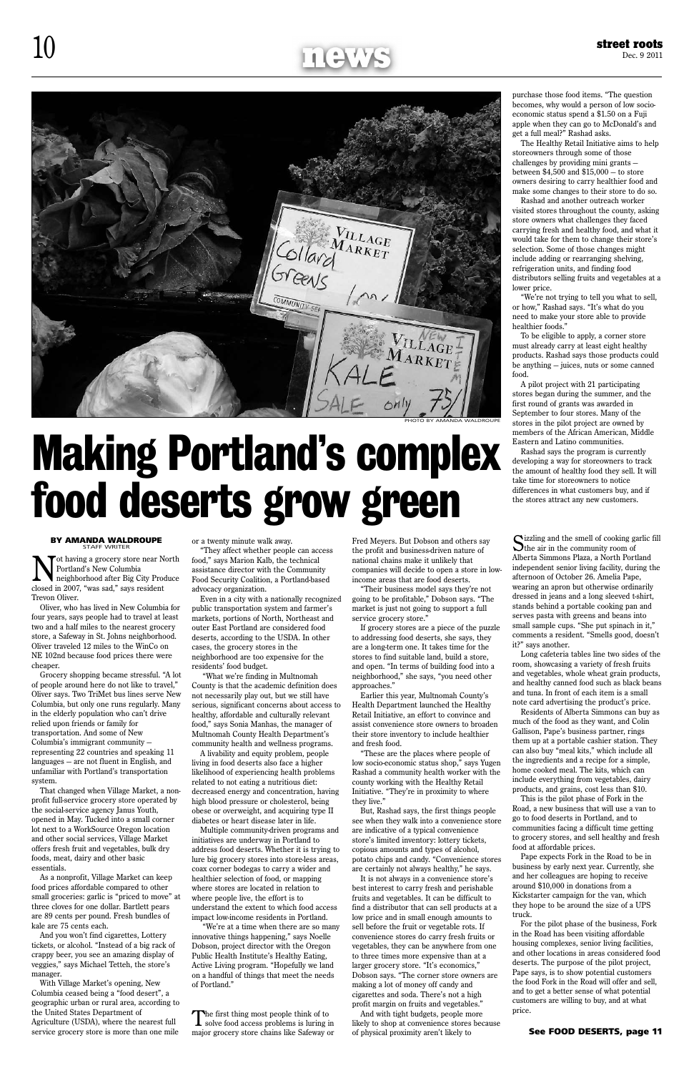### $10$  street roots

Collard MARKET  $LAGI$ ARKET

ot having a grocery store near North Portland's New Columbia neighborhood after Big City Produce closed in 2007, "was sad," says resident Trevon Oliver.

Oliver, who has lived in New Columbia for four years, says people had to travel at least two and a half miles to the nearest grocery store, a Safeway in St. Johns neighborhood. Oliver traveled 12 miles to the WinCo on NE 102nd because food prices there were cheaper.

Grocery shopping became stressful. "A lot of people around here do not like to travel," Oliver says. Two TriMet bus lines serve New Columbia, but only one runs regularly. Many in the elderly population who can't drive relied upon friends or family for transportation. And some of New Columbia's immigrant community representing 22 countries and speaking 11 languages — are not fluent in English, and unfamiliar with Portland's transportation system.

That changed when Village Market, a nonprofit full-service grocery store operated by the social-service agency Janus Youth, opened in May. Tucked into a small corner lot next to a WorkSource Oregon location and other social services, Village Market offers fresh fruit and vegetables, bulk dry foods, meat, dairy and other basic essentials. As a nonprofit, Village Market can keep food prices affordable compared to other small groceries: garlic is "priced to move" at three cloves for one dollar. Bartlett pears are 89 cents per pound. Fresh bundles of kale are 75 cents each.

And you won't find cigarettes, Lottery tickets, or alcohol. "Instead of a big rack of crappy beer, you see an amazing display of veggies," says Michael Tetteh, the store's manager.

With Village Market's opening, New Columbia ceased being a "food desert", a geographic urban or rural area, according to the United States Department of Agriculture (USDA), where the nearest full service grocery store is more than one mile

or a twenty minute walk away.

The first thing most people think of to solve food access problems is luring in major grocery store chains like Safeway or

"They affect whether people can access food," says Marion Kalb, the technical assistance director with the Community Food Security Coalition, a Portland-based advocacy organization.

Even in a city with a nationally recognized public transportation system and farmer's markets, portions of North, Northeast and outer East Portland are considered food deserts, according to the USDA. In other cases, the grocery stores in the neighborhood are too expensive for the residents' food budget.

 "What we're finding in Multnomah County is that the academic definition does not necessarily play out, but we still have serious, significant concerns about access to healthy, affordable and culturally relevant food," says Sonia Manhas, the manager of Multnomah County Health Department's community health and wellness programs.

A livability and equity problem, people living in food deserts also face a higher likelihood of experiencing health problems related to not eating a nutritious diet:

decreased energy and concentration, having high blood pressure or cholesterol, being obese or overweight, and acquiring type II diabetes or heart disease later in life.

Multiple community-driven programs and initiatives are underway in Portland to address food deserts. Whether it is trying to lure big grocery stores into store-less areas, coax corner bodegas to carry a wider and healthier selection of food, or mapping where stores are located in relation to where people live, the effort is to understand the extent to which food access impact low-income residents in Portland.

 "We're at a time when there are so many innovative things happening," says Noelle Dobson, project director with the Oregon Public Health Institute's Healthy Eating, Active Living program. "Hopefully we land on a handful of things that meet the needs of Portland."

Fred Meyers. But Dobson and others say the profit and business-driven nature of national chains make it unlikely that companies will decide to open a store in lowincome areas that are food deserts.

Sizzling and the smell of cooking garlic fill<br>the air in the community room of Alberta Simmons Plaza, a North Portland independent senior living facility, during the afternoon of October 26. Amelia Pape, wearing an apron but otherwise ordinarily dressed in jeans and a long sleeved t-shirt, stands behind a portable cooking pan and serves pasta with greens and beans into small sample cups. "She put spinach in it," comments a resident. "Smells good, doesn't it?" says another.

"Their business model says they're not going to be profitable," Dobson says. "The market is just not going to support a full service grocery store."

If grocery stores are a piece of the puzzle to addressing food deserts, she says, they are a long-term one. It takes time for the stores to find suitable land, build a store, and open. "In terms of building food into a neighborhood," she says, "you need other approaches."

Earlier this year, Multnomah County's Health Department launched the Healthy Retail Initiative, an effort to convince and assist convenience store owners to broaden their store inventory to include healthier and fresh food.

"These are the places where people of low socio-economic status shop," says Yugen Rashad a community health worker with the county working with the Healthy Retail Initiative. "They're in proximity to where they live."

But, Rashad says, the first things people see when they walk into a convenience store are indicative of a typical convenience store's limited inventory: lottery tickets, copious amounts and types of alcohol, potato chips and candy. "Convenience stores are certainly not always healthy," he says.

It is not always in a convenience store's best interest to carry fresh and perishable fruits and vegetables. It can be difficult to find a distributor that can sell products at a low price and in small enough amounts to sell before the fruit or vegetable rots. If convenience stores do carry fresh fruits or vegetables, they can be anywhere from one to three times more expensive than at a larger grocery store. "It's economics," Dobson says. "The corner store owners are making a lot of money off candy and cigarettes and soda. There's not a high profit margin on fruits and vegetables."

And with tight budgets, people more likely to shop at convenience stores because of physical proximity aren't likely to

purchase those food items. "The question becomes, why would a person of low socioeconomic status spend a \$1.50 on a Fuji apple when they can go to McDonald's and get a full meal?" Rashad asks.

The Healthy Retail Initiative aims to help storeowners through some of those challenges by providing mini grants between \$4,500 and \$15,000 — to store owners desiring to carry healthier food and make some changes to their store to do so.

Rashad and another outreach worker visited stores throughout the county, asking store owners what challenges they faced carrying fresh and healthy food, and what it would take for them to change their store's selection. Some of those changes might include adding or rearranging shelving, refrigeration units, and finding food distributors selling fruits and vegetables at a lower price.

"We're not trying to tell you what to sell, or how," Rashad says. "It's what do you need to make your store able to provide healthier foods."

To be eligible to apply, a corner store must already carry at least eight healthy products. Rashad says those products could be anything — juices, nuts or some canned food.

A pilot project with 21 participating stores began during the summer, and the first round of grants was awarded in September to four stores. Many of the stores in the pilot project are owned by members of the African American, Middle Eastern and Latino communities.

Rashad says the program is currently developing a way for storeowners to track the amount of healthy food they sell. It will take time for storeowners to notice differences in what customers buy, and if the stores attract any new customers.

Long cafeteria tables line two sides of the room, showcasing a variety of fresh fruits and vegetables, whole wheat grain products, and healthy canned food such as black beans and tuna. In front of each item is a small note card advertising the product's price.

Residents of Alberta Simmons can buy as much of the food as they want, and Colin Gallison, Pape's business partner, rings them up at a portable cashier station. They can also buy "meal kits," which include all the ingredients and a recipe for a simple, home cooked meal. The kits, which can include everything from vegetables, dairy products, and grains, cost less than \$10. This is the pilot phase of Fork in the Road, a new business that will use a van to go to food deserts in Portland, and to communities facing a difficult time getting to grocery stores, and sell healthy and fresh food at affordable prices. Pape expects Fork in the Road to be in business by early next year. Currently, she and her colleagues are hoping to receive around \$10,000 in donations from a Kickstarter campaign for the van, which they hope to be around the size of a UPS truck. For the pilot phase of the business, Fork in the Road has been visiting affordable housing complexes, senior living facilities, and other locations in areas considered food deserts. The purpose of the pilot project, Pape says, is to show potential customers the food Fork in the Road will offer and sell, and to get a better sense of what potential customers are willing to buy, and at what price.

# Making Portland's complex food deserts grow green

#### **BY AMANDA WALDROUPE**

See Food Deserts, page 11

#### Photo by Amanda Waldroupe